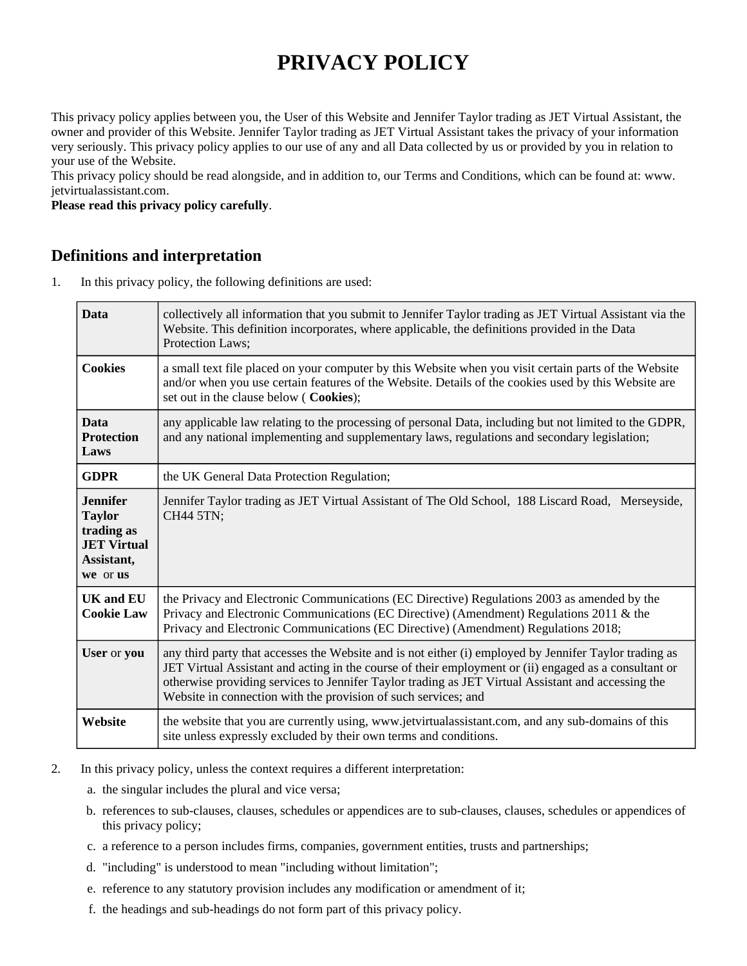# **PRIVACY POLICY**

This privacy policy applies between you, the User of this Website and Jennifer Taylor trading as JET Virtual Assistant, the owner and provider of this Website. Jennifer Taylor trading as JET Virtual Assistant takes the privacy of your information very seriously. This privacy policy applies to our use of any and all Data collected by us or provided by you in relation to your use of the Website.

This privacy policy should be read alongside, and in addition to, our Terms and Conditions, which can be found at: www. jetvirtualassistant.com.

**Please read this privacy policy carefully**.

#### **Definitions and interpretation**

1. In this privacy policy, the following definitions are used:

| <b>Data</b>                                                                                    | collectively all information that you submit to Jennifer Taylor trading as JET Virtual Assistant via the<br>Website. This definition incorporates, where applicable, the definitions provided in the Data<br>Protection Laws;                                                                                                                                                           |
|------------------------------------------------------------------------------------------------|-----------------------------------------------------------------------------------------------------------------------------------------------------------------------------------------------------------------------------------------------------------------------------------------------------------------------------------------------------------------------------------------|
| <b>Cookies</b>                                                                                 | a small text file placed on your computer by this Website when you visit certain parts of the Website<br>and/or when you use certain features of the Website. Details of the cookies used by this Website are<br>set out in the clause below ( Cookies);                                                                                                                                |
| <b>Data</b><br><b>Protection</b><br>Laws                                                       | any applicable law relating to the processing of personal Data, including but not limited to the GDPR,<br>and any national implementing and supplementary laws, regulations and secondary legislation;                                                                                                                                                                                  |
| <b>GDPR</b>                                                                                    | the UK General Data Protection Regulation;                                                                                                                                                                                                                                                                                                                                              |
| <b>Jennifer</b><br><b>Taylor</b><br>trading as<br><b>JET Virtual</b><br>Assistant,<br>we or us | Jennifer Taylor trading as JET Virtual Assistant of The Old School, 188 Liscard Road, Merseyside,<br>CH44 5TN;                                                                                                                                                                                                                                                                          |
| <b>UK and EU</b><br><b>Cookie Law</b>                                                          | the Privacy and Electronic Communications (EC Directive) Regulations 2003 as amended by the<br>Privacy and Electronic Communications (EC Directive) (Amendment) Regulations 2011 & the<br>Privacy and Electronic Communications (EC Directive) (Amendment) Regulations 2018;                                                                                                            |
| User or you                                                                                    | any third party that accesses the Website and is not either (i) employed by Jennifer Taylor trading as<br>JET Virtual Assistant and acting in the course of their employment or (ii) engaged as a consultant or<br>otherwise providing services to Jennifer Taylor trading as JET Virtual Assistant and accessing the<br>Website in connection with the provision of such services; and |
| Website                                                                                        | the website that you are currently using, www.jetvirtualassistant.com, and any sub-domains of this<br>site unless expressly excluded by their own terms and conditions.                                                                                                                                                                                                                 |

- 2. In this privacy policy, unless the context requires a different interpretation:
	- a. the singular includes the plural and vice versa;
	- b. references to sub-clauses, clauses, schedules or appendices are to sub-clauses, clauses, schedules or appendices of this privacy policy;
	- c. a reference to a person includes firms, companies, government entities, trusts and partnerships;
	- d. "including" is understood to mean "including without limitation";
	- e. reference to any statutory provision includes any modification or amendment of it;
	- f. the headings and sub-headings do not form part of this privacy policy.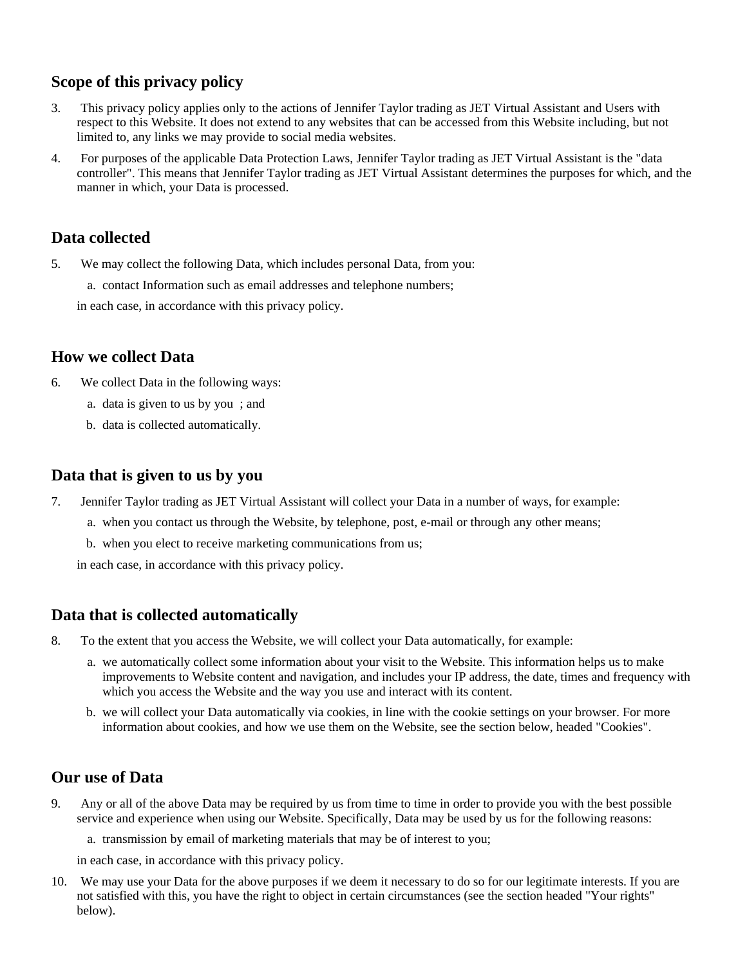# **Scope of this privacy policy**

- 3. This privacy policy applies only to the actions of Jennifer Taylor trading as JET Virtual Assistant and Users with respect to this Website. It does not extend to any websites that can be accessed from this Website including, but not limited to, any links we may provide to social media websites.
- 4. For purposes of the applicable Data Protection Laws, Jennifer Taylor trading as JET Virtual Assistant is the "data controller". This means that Jennifer Taylor trading as JET Virtual Assistant determines the purposes for which, and the manner in which, your Data is processed.

# **Data collected**

- 5. We may collect the following Data, which includes personal Data, from you:
	- a. contact Information such as email addresses and telephone numbers;

in each case, in accordance with this privacy policy.

# **How we collect Data**

- 6. We collect Data in the following ways:
	- a. data is given to us by you ; and
	- b. data is collected automatically.

## **Data that is given to us by you**

- 7. Jennifer Taylor trading as JET Virtual Assistant will collect your Data in a number of ways, for example:
	- a. when you contact us through the Website, by telephone, post, e-mail or through any other means;
	- b. when you elect to receive marketing communications from us;

in each case, in accordance with this privacy policy.

# **Data that is collected automatically**

- 8. To the extent that you access the Website, we will collect your Data automatically, for example:
	- a. we automatically collect some information about your visit to the Website. This information helps us to make improvements to Website content and navigation, and includes your IP address, the date, times and frequency with which you access the Website and the way you use and interact with its content.
	- b. we will collect your Data automatically via cookies, in line with the cookie settings on your browser. For more information about cookies, and how we use them on the Website, see the section below, headed "Cookies".

# **Our use of Data**

- 9. Any or all of the above Data may be required by us from time to time in order to provide you with the best possible service and experience when using our Website. Specifically, Data may be used by us for the following reasons:
	- a. transmission by email of marketing materials that may be of interest to you;

in each case, in accordance with this privacy policy.

10. We may use your Data for the above purposes if we deem it necessary to do so for our legitimate interests. If you are not satisfied with this, you have the right to object in certain circumstances (see the section headed "Your rights" below).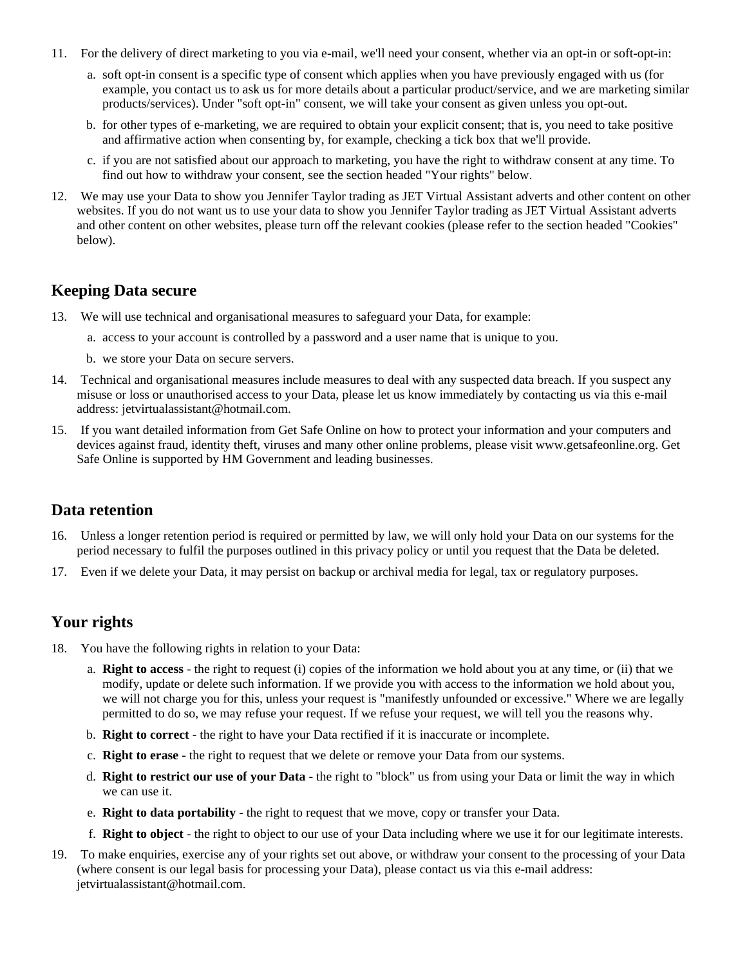- 11. For the delivery of direct marketing to you via e-mail, we'll need your consent, whether via an opt-in or soft-opt-in:
	- a. soft opt-in consent is a specific type of consent which applies when you have previously engaged with us (for example, you contact us to ask us for more details about a particular product/service, and we are marketing similar products/services). Under "soft opt-in" consent, we will take your consent as given unless you opt-out.
	- b. for other types of e-marketing, we are required to obtain your explicit consent; that is, you need to take positive and affirmative action when consenting by, for example, checking a tick box that we'll provide.
	- c. if you are not satisfied about our approach to marketing, you have the right to withdraw consent at any time. To find out how to withdraw your consent, see the section headed "Your rights" below.
- 12. We may use your Data to show you Jennifer Taylor trading as JET Virtual Assistant adverts and other content on other websites. If you do not want us to use your data to show you Jennifer Taylor trading as JET Virtual Assistant adverts and other content on other websites, please turn off the relevant cookies (please refer to the section headed "Cookies" below).

#### **Keeping Data secure**

- 13. We will use technical and organisational measures to safeguard your Data, for example:
	- a. access to your account is controlled by a password and a user name that is unique to you.
	- b. we store your Data on secure servers.
- 14. Technical and organisational measures include measures to deal with any suspected data breach. If you suspect any misuse or loss or unauthorised access to your Data, please let us know immediately by contacting us via this e-mail address: jetvirtualassistant@hotmail.com.
- 15. If you want detailed information from Get Safe Online on how to protect your information and your computers and devices against fraud, identity theft, viruses and many other online problems, please visit www.getsafeonline.org. Get Safe Online is supported by HM Government and leading businesses.

#### **Data retention**

- 16. Unless a longer retention period is required or permitted by law, we will only hold your Data on our systems for the period necessary to fulfil the purposes outlined in this privacy policy or until you request that the Data be deleted.
- 17. Even if we delete your Data, it may persist on backup or archival media for legal, tax or regulatory purposes.

# **Your rights**

- 18. You have the following rights in relation to your Data:
	- a. **Right to access** the right to request (i) copies of the information we hold about you at any time, or (ii) that we modify, update or delete such information. If we provide you with access to the information we hold about you, we will not charge you for this, unless your request is "manifestly unfounded or excessive." Where we are legally permitted to do so, we may refuse your request. If we refuse your request, we will tell you the reasons why.
	- b. **Right to correct** the right to have your Data rectified if it is inaccurate or incomplete.
	- c. **Right to erase** the right to request that we delete or remove your Data from our systems.
	- d. **Right to restrict our use of your Data** the right to "block" us from using your Data or limit the way in which we can use it.
	- e. **Right to data portability** the right to request that we move, copy or transfer your Data.
	- f. **Right to object** the right to object to our use of your Data including where we use it for our legitimate interests.
- 19. To make enquiries, exercise any of your rights set out above, or withdraw your consent to the processing of your Data (where consent is our legal basis for processing your Data), please contact us via this e-mail address: jetvirtualassistant@hotmail.com.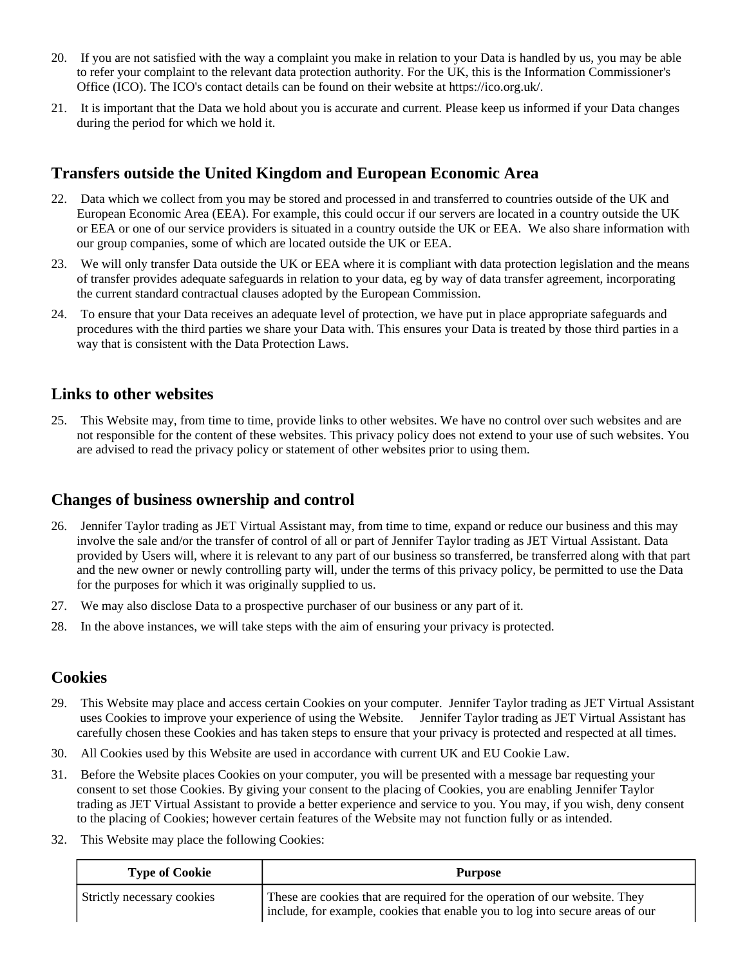- 20. If you are not satisfied with the way a complaint you make in relation to your Data is handled by us, you may be able to refer your complaint to the relevant data protection authority. For the UK, this is the Information Commissioner's Office (ICO). The ICO's contact details can be found on their website at https://ico.org.uk/.
- 21. It is important that the Data we hold about you is accurate and current. Please keep us informed if your Data changes during the period for which we hold it.

# **Transfers outside the United Kingdom and European Economic Area**

- 22. Data which we collect from you may be stored and processed in and transferred to countries outside of the UK and European Economic Area (EEA). For example, this could occur if our servers are located in a country outside the UK or EEA or one of our service providers is situated in a country outside the UK or EEA. We also share information with our group companies, some of which are located outside the UK or EEA.
- 23. We will only transfer Data outside the UK or EEA where it is compliant with data protection legislation and the means of transfer provides adequate safeguards in relation to your data, eg by way of data transfer agreement, incorporating the current standard contractual clauses adopted by the European Commission.
- 24. To ensure that your Data receives an adequate level of protection, we have put in place appropriate safeguards and procedures with the third parties we share your Data with. This ensures your Data is treated by those third parties in a way that is consistent with the Data Protection Laws.

## **Links to other websites**

25. This Website may, from time to time, provide links to other websites. We have no control over such websites and are not responsible for the content of these websites. This privacy policy does not extend to your use of such websites. You are advised to read the privacy policy or statement of other websites prior to using them.

# **Changes of business ownership and control**

- 26. Jennifer Taylor trading as JET Virtual Assistant may, from time to time, expand or reduce our business and this may involve the sale and/or the transfer of control of all or part of Jennifer Taylor trading as JET Virtual Assistant. Data provided by Users will, where it is relevant to any part of our business so transferred, be transferred along with that part and the new owner or newly controlling party will, under the terms of this privacy policy, be permitted to use the Data for the purposes for which it was originally supplied to us.
- 27. We may also disclose Data to a prospective purchaser of our business or any part of it.
- 28. In the above instances, we will take steps with the aim of ensuring your privacy is protected.

# **Cookies**

- 29. This Website may place and access certain Cookies on your computer. Jennifer Taylor trading as JET Virtual Assistant uses Cookies to improve your experience of using the Website. Jennifer Taylor trading as JET Virtual Assistant has carefully chosen these Cookies and has taken steps to ensure that your privacy is protected and respected at all times.
- 30. All Cookies used by this Website are used in accordance with current UK and EU Cookie Law.
- 31. Before the Website places Cookies on your computer, you will be presented with a message bar requesting your consent to set those Cookies. By giving your consent to the placing of Cookies, you are enabling Jennifer Taylor trading as JET Virtual Assistant to provide a better experience and service to you. You may, if you wish, deny consent to the placing of Cookies; however certain features of the Website may not function fully or as intended.
- 32. This Website may place the following Cookies:

| <b>Type of Cookie</b>      | <b>Purpose</b>                                                                                                                                              |
|----------------------------|-------------------------------------------------------------------------------------------------------------------------------------------------------------|
| Strictly necessary cookies | These are cookies that are required for the operation of our website. They<br>include, for example, cookies that enable you to log into secure areas of our |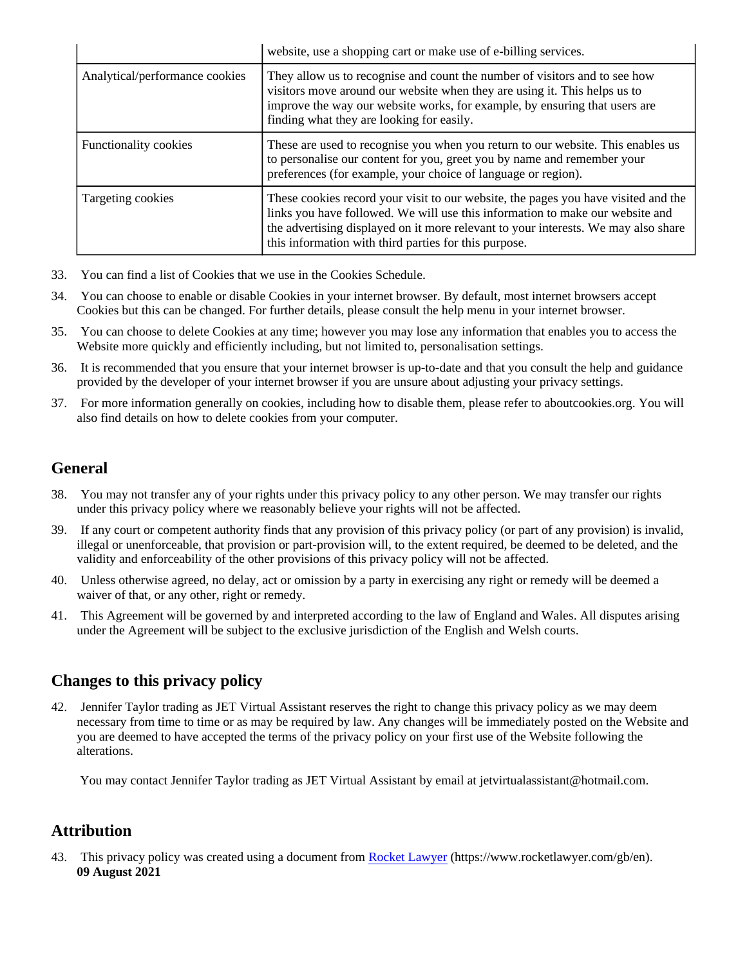|                                | website, use a shopping cart or make use of e-billing services.                                                                                                                                                                                                                                                    |
|--------------------------------|--------------------------------------------------------------------------------------------------------------------------------------------------------------------------------------------------------------------------------------------------------------------------------------------------------------------|
| Analytical/performance cookies | They allow us to recognise and count the number of visitors and to see how<br>visitors move around our website when they are using it. This helps us to<br>improve the way our website works, for example, by ensuring that users are<br>finding what they are looking for easily.                                 |
| <b>Functionality cookies</b>   | These are used to recognise you when you return to our website. This enables us<br>to personalise our content for you, greet you by name and remember your<br>preferences (for example, your choice of language or region).                                                                                        |
| Targeting cookies              | These cookies record your visit to our website, the pages you have visited and the<br>links you have followed. We will use this information to make our website and<br>the advertising displayed on it more relevant to your interests. We may also share<br>this information with third parties for this purpose. |

- 33. You can find a list of Cookies that we use in the Cookies Schedule.
- 34. You can choose to enable or disable Cookies in your internet browser. By default, most internet browsers accept Cookies but this can be changed. For further details, please consult the help menu in your internet browser.
- 35. You can choose to delete Cookies at any time; however you may lose any information that enables you to access the Website more quickly and efficiently including, but not limited to, personalisation settings.
- 36. It is recommended that you ensure that your internet browser is up-to-date and that you consult the help and guidance provided by the developer of your internet browser if you are unsure about adjusting your privacy settings.
- 37. For more information generally on cookies, including how to disable them, please refer to aboutcookies.org. You will also find details on how to delete cookies from your computer.

# **General**

- 38. You may not transfer any of your rights under this privacy policy to any other person. We may transfer our rights under this privacy policy where we reasonably believe your rights will not be affected.
- 39. If any court or competent authority finds that any provision of this privacy policy (or part of any provision) is invalid, illegal or unenforceable, that provision or part-provision will, to the extent required, be deemed to be deleted, and the validity and enforceability of the other provisions of this privacy policy will not be affected.
- 40. Unless otherwise agreed, no delay, act or omission by a party in exercising any right or remedy will be deemed a waiver of that, or any other, right or remedy.
- 41. This Agreement will be governed by and interpreted according to the law of England and Wales. All disputes arising under the Agreement will be subject to the exclusive jurisdiction of the English and Welsh courts.

# **Changes to this privacy policy**

42. Jennifer Taylor trading as JET Virtual Assistant reserves the right to change this privacy policy as we may deem necessary from time to time or as may be required by law. Any changes will be immediately posted on the Website and you are deemed to have accepted the terms of the privacy policy on your first use of the Website following the alterations.

You may contact Jennifer Taylor trading as JET Virtual Assistant by email at jetvirtualassistant@hotmail.com.

# **Attribution**

43. This privacy policy was created using a document from [Rocket Lawyer](https://www.rocketlawyer.com/gb/en/) (https://www.rocketlawyer.com/gb/en). **09 August 2021**